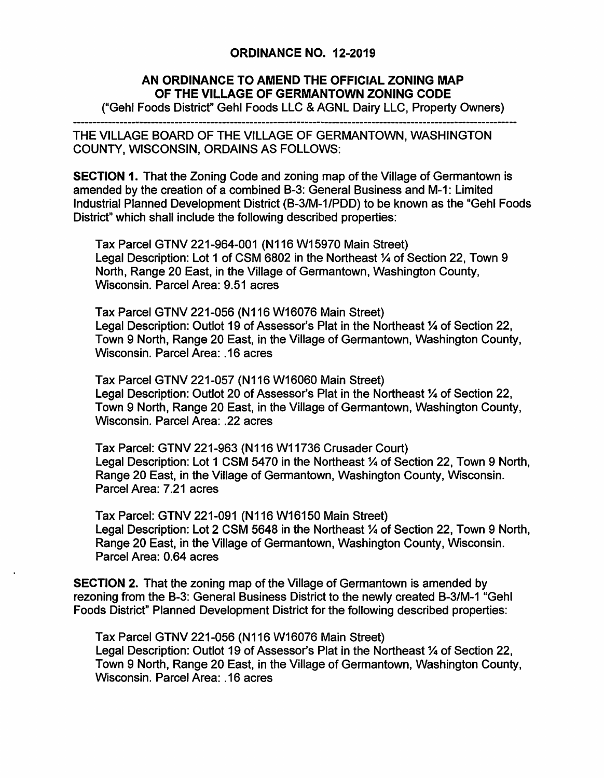## ORDINANCE NO. 12-2019

## **AN ORDINANCE TO AMEND THE OFFICIAL ZONING MAP OF THE VILLAGE OF GERMANTOWN ZONING CODE**

("Gehl Foods District" Gehl Foods LLC & AGNL Dairy LLC, Property Owners)

--------------------------------------------------------------------------- THE VILLAGE BOARD OF THE VILLAGE OF GERMANTOWN, WASHINGTON COUNTY, WISCONSIN, ORDAINS AS FOLLOWS:

**SECTION 1.** That the Zoning Code and zoning map of the Village of Germantown is amended by the creation of a combined B-3: General Business and M-1: Limited Industrial Planned Development District (B-3/M-1/PDD) to be known as the "Gehl Foods District" which shall include the following described properties:

Tax Parcel GTNV 221-964-001 (N116 W15970 Main Street) Legal Description: Lot 1 of CSM 6802 in the Northeast ¼ of Section 22, Town 9 North, Range 20 East, in the Village of Germantown, Washington County, Wisconsin. Parcel Area: 9.51 acres

Tax Parcel GTNV 221-056 (N116 W16076 Main Street) Legal Description: Outlot 19 of Assessor's Plat in the Northeast 1/4 of Section 22, Town 9 North, Range 20 East, in the Village of Germantown, Washington County, Wisconsin. Parcel Area: .16 acres

Tax Parcel GTNV 221-057 (N116 W16060 Main Street) Legal Description: Outlot 20 of Assessor's Plat in the Northeast 1/4 of Section 22, Town 9 North, Range 20 East, in the Village of Germantown, Washington County, Wisconsin. Parcel Area: .22 acres

Tax Parcel: GTNV 221-963 (N116 W11736 Crusader Court) Legal Description: Lot 1 CSM 5470 in the Northeast  $\frac{1}{4}$  of Section 22, Town 9 North, Range 20 East, in the Village of Germantown, Washington County, Wisconsin. Parcel Area: 7 .21 acres

Tax Parcel: GTNV 221-091 (N116 W16150 Main Street) Legal Description: Lot 2 CSM 5648 in the Northeast ¼ of Section 22, Town 9 North, Range 20 East, in the Village of Germantown, Washington County, Wisconsin. Parcel Area: 0.64 acres

**SECTION 2.** That the zoning map of the Village of Germantown is amended by rezoning from the 8-3: General Business District to the newly created B-3/M-1 "Gehl Foods District" Planned Development District for the following described properties:

Tax Parcel GTNV 221-056 (N116 W16076 Main Street) Legal Description: Outlot 19 of Assessor's Plat in the Northeast 1/4 of Section 22, Town 9 North, Range 20 East, in the Village of Germantown, Washington County, Wisconsin. Parcel Area: .16 acres